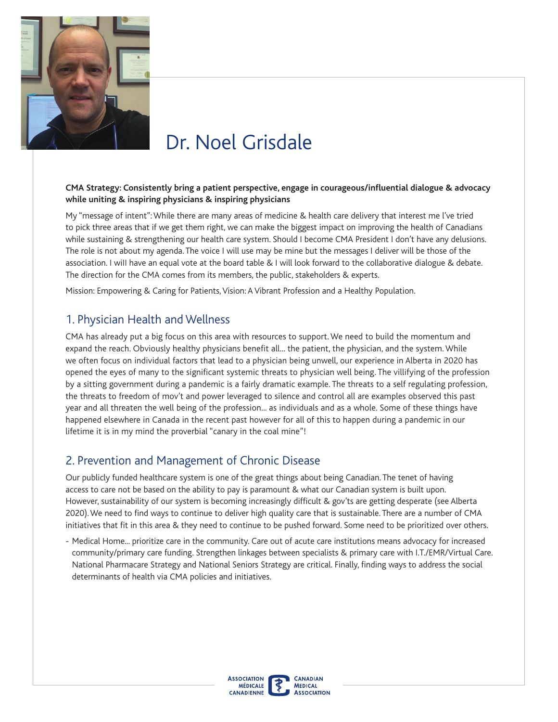

# Dr. Noel Grisdale

#### **CMA Strategy: Consistently bring a patient perspective, engage in courageous/infuential dialogue & advocacy while uniting & inspiring physicians & inspiring physicians**

My "message of intent": While there are many areas of medicine & health care delivery that interest me l've tried to pick three areas that if we get them right, we can make the biggest impact on improving the health of Canadians while sustaining & strengthening our health care system. Should I become CMA President I don't have any delusions. The role is not about my agenda. The voice I will use may be mine but the messages I deliver will be those of the association. I wiII have an equal vote at the board table & I will look forward to the collaborative dialogue & debate. The direction for the CMA comes from its members, the public, stakeholders & experts.

Mission: Empowering & Caring for Patients, Vision: A Vibrant Profession and a Healthy Population.

#### 1. Physician Health and Wellness

CMA has already put a big focus on this area with resources to support. We need to build the momentum and expand the reach. Obviously healthy physicians benefit all... the patient, the physician, and the system. While we often focus on individual factors that lead to a physician being unwell, our experience in Alberta in 2020 has opened the eyes of many to the signifcant systemic threats to physician well being. The villifying of the profession by a sitting government during a pandemic is a fairly dramatic example. The threats to a self regulating profession, the threats to freedom of mov't and power leveraged to silence and control all are examples observed this past year and all threaten the well being of the profession... as individuals and as a whole. Some of these things have happened elsewhere in Canada in the recent past however for all of this to happen during a pandemic in our lifetime it is in my mind the proverbial "canary in the coal mine"!

### 2. Prevention and Management of Chronic Disease

Our publicly funded healthcare system is one of the great things about being Canadian. The tenet of having access to care not be based on the ability to pay is paramount & what our Canadian system is built upon. However, sustainability of our system is becoming increasingly difficult & gov'ts are getting desperate (see Alberta 2020). We need to fnd ways to continue to deliver high quality care that is sustainable. There are a number of CMA initiatives that fit in this area & they need to continue to be pushed forward. Some need to be prioritized over others.

- Medical Home... prioritize care in the community. Care out of acute care institutions means advocacy for increased community/primary care funding. Strengthen linkages between specialists & primary care with I.T./EMR/Virtual Care. National Pharmacare Strategy and National Seniors Strategy are critical. Finally, finding ways to address the social determinants of health via CMA policies and initiatives.